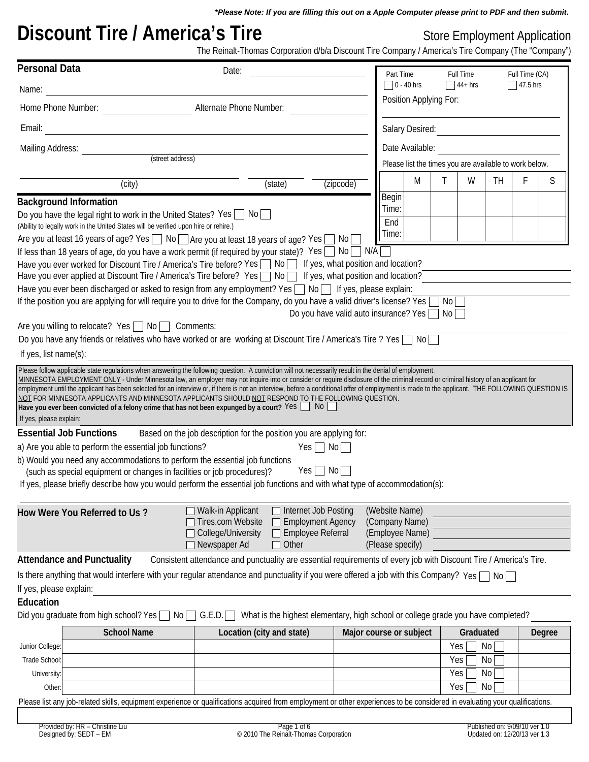*\*Please Note: If you are filling this out on a Apple Computer please print to PDF and then submit.*

# **Discount Tire / America's Tire Since 20 America's Tire** Store Employment Application

The Reinalt-Thomas Corporation d/b/a Discount Tire Company / America's Tire Company (The "Company")

| <b>Personal Data</b>    |                                                                                                                                                                                                                                                                                                                                                                                                                                                                                                                                                                                                                                                                                                                                                                                         | Date:                                                                                                              |                                                                           |                         | Part Time                                              |                 | Full Time |    | Full Time (CA) |        |  |
|-------------------------|-----------------------------------------------------------------------------------------------------------------------------------------------------------------------------------------------------------------------------------------------------------------------------------------------------------------------------------------------------------------------------------------------------------------------------------------------------------------------------------------------------------------------------------------------------------------------------------------------------------------------------------------------------------------------------------------------------------------------------------------------------------------------------------------|--------------------------------------------------------------------------------------------------------------------|---------------------------------------------------------------------------|-------------------------|--------------------------------------------------------|-----------------|-----------|----|----------------|--------|--|
| Name:                   |                                                                                                                                                                                                                                                                                                                                                                                                                                                                                                                                                                                                                                                                                                                                                                                         |                                                                                                                    | $\Box$ 0 - 40 hrs<br>$\sqrt{44+}$ hrs<br>$\sqrt{47.5}$ hrs                |                         |                                                        |                 |           |    |                |        |  |
| Home Phone Number:      |                                                                                                                                                                                                                                                                                                                                                                                                                                                                                                                                                                                                                                                                                                                                                                                         | Alternate Phone Number:                                                                                            |                                                                           |                         | Position Applying For:                                 |                 |           |    |                |        |  |
| Email:                  |                                                                                                                                                                                                                                                                                                                                                                                                                                                                                                                                                                                                                                                                                                                                                                                         |                                                                                                                    |                                                                           |                         | Salary Desired:                                        |                 |           |    |                |        |  |
| Mailing Address:        |                                                                                                                                                                                                                                                                                                                                                                                                                                                                                                                                                                                                                                                                                                                                                                                         |                                                                                                                    |                                                                           |                         | Date Available:                                        |                 |           |    |                |        |  |
|                         | (street address)                                                                                                                                                                                                                                                                                                                                                                                                                                                                                                                                                                                                                                                                                                                                                                        |                                                                                                                    |                                                                           |                         | Please list the times you are available to work below. |                 |           |    |                |        |  |
|                         |                                                                                                                                                                                                                                                                                                                                                                                                                                                                                                                                                                                                                                                                                                                                                                                         |                                                                                                                    |                                                                           |                         | M                                                      | Τ               | W         | TH | F              | S      |  |
|                         | (city)                                                                                                                                                                                                                                                                                                                                                                                                                                                                                                                                                                                                                                                                                                                                                                                  | (state)                                                                                                            | (zipcode)                                                                 | Begin                   |                                                        |                 |           |    |                |        |  |
|                         | <b>Background Information</b>                                                                                                                                                                                                                                                                                                                                                                                                                                                                                                                                                                                                                                                                                                                                                           |                                                                                                                    |                                                                           | Time:                   |                                                        |                 |           |    |                |        |  |
|                         | Do you have the legal right to work in the United States? Yes $\Box$ No<br>(Ability to legally work in the United States will be verified upon hire or rehire.)                                                                                                                                                                                                                                                                                                                                                                                                                                                                                                                                                                                                                         |                                                                                                                    |                                                                           | End                     |                                                        |                 |           |    |                |        |  |
|                         | Are you at least 16 years of age? Yes □ No □ Are you at least 18 years of age? Yes □ No [                                                                                                                                                                                                                                                                                                                                                                                                                                                                                                                                                                                                                                                                                               | Time:                                                                                                              |                                                                           |                         |                                                        |                 |           |    |                |        |  |
|                         | If less than 18 years of age, do you have a work permit (if required by your state)? Yes $\Box$ No $\Box$ N/A                                                                                                                                                                                                                                                                                                                                                                                                                                                                                                                                                                                                                                                                           |                                                                                                                    |                                                                           |                         |                                                        |                 |           |    |                |        |  |
|                         | Have you ever worked for Discount Tire / America's Tire before? Yes No If yes, what position and location?                                                                                                                                                                                                                                                                                                                                                                                                                                                                                                                                                                                                                                                                              |                                                                                                                    |                                                                           |                         |                                                        |                 |           |    |                |        |  |
|                         | Have you ever applied at Discount Tire / America's Tire before? Yes $\Box$ No $\Box$ If yes, what position and location?                                                                                                                                                                                                                                                                                                                                                                                                                                                                                                                                                                                                                                                                |                                                                                                                    |                                                                           |                         |                                                        |                 |           |    |                |        |  |
|                         | Have you ever been discharged or asked to resign from any employment? Yes $\Box$ No $\Box$ If yes, please explain:                                                                                                                                                                                                                                                                                                                                                                                                                                                                                                                                                                                                                                                                      |                                                                                                                    |                                                                           |                         |                                                        |                 |           |    |                |        |  |
|                         | If the position you are applying for will require you to drive for the Company, do you have a valid driver's license? Yes                                                                                                                                                                                                                                                                                                                                                                                                                                                                                                                                                                                                                                                               |                                                                                                                    |                                                                           |                         |                                                        | No <sub>l</sub> |           |    |                |        |  |
|                         |                                                                                                                                                                                                                                                                                                                                                                                                                                                                                                                                                                                                                                                                                                                                                                                         |                                                                                                                    | Do you have valid auto insurance? Yes                                     |                         |                                                        | No              |           |    |                |        |  |
|                         | Are you willing to relocate? Yes   No   Comments:                                                                                                                                                                                                                                                                                                                                                                                                                                                                                                                                                                                                                                                                                                                                       |                                                                                                                    |                                                                           |                         |                                                        |                 |           |    |                |        |  |
|                         | Do you have any friends or relatives who have worked or are working at Discount Tire / America's Tire? Yes □ No                                                                                                                                                                                                                                                                                                                                                                                                                                                                                                                                                                                                                                                                         |                                                                                                                    |                                                                           |                         |                                                        |                 |           |    |                |        |  |
| If yes, list name(s):   |                                                                                                                                                                                                                                                                                                                                                                                                                                                                                                                                                                                                                                                                                                                                                                                         |                                                                                                                    |                                                                           |                         |                                                        |                 |           |    |                |        |  |
| If yes, please explain: | MINNESOTA EMPLOYMENT ONLY - Under Minnesota law, an employer may not inquire into or consider or require disclosure of the criminal record or criminal history of an applicant for<br>employment until the applicant has been selected for an interview or, if there is not an interview, before a conditional offer of employment is made to the applicant. THE FOLLOWING QUESTION IS<br>NOT FOR MINNESOTA APPLICANTS AND MINNESOTA APPLICANTS SHOULD NOT RESPOND TO THE FOLLOWING QUESTION.<br>Have you ever been convicted of a felony crime that has not been expunged by a court? Yes $\Box$ No $\Box$<br><b>Essential Job Functions</b><br>a) Are you able to perform the essential job functions?<br>b) Would you need any accommodations to perform the essential job functions | Based on the job description for the position you are applying for:                                                | $Yes \Box No \Box$                                                        |                         |                                                        |                 |           |    |                |        |  |
|                         | (such as special equipment or changes in facilities or job procedures)?                                                                                                                                                                                                                                                                                                                                                                                                                                                                                                                                                                                                                                                                                                                 |                                                                                                                    | $Yes \Box No \Box$                                                        |                         |                                                        |                 |           |    |                |        |  |
|                         | If yes, please briefly describe how you would perform the essential job functions and with what type of accommodation(s):                                                                                                                                                                                                                                                                                                                                                                                                                                                                                                                                                                                                                                                               |                                                                                                                    |                                                                           |                         |                                                        |                 |           |    |                |        |  |
|                         | How Were You Referred to Us?                                                                                                                                                                                                                                                                                                                                                                                                                                                                                                                                                                                                                                                                                                                                                            | Walk-in Applicant<br>Tires.com Website<br>College/University<br>$\Box$ Other<br>□ Newspaper Ad                     | □ Internet Job Posting<br><b>Employment Agency</b><br>□ Employee Referral | (Please specify)        | (Website Name)<br>(Company Name)<br>(Employee Name)    |                 |           |    |                |        |  |
|                         | <b>Attendance and Punctuality</b>                                                                                                                                                                                                                                                                                                                                                                                                                                                                                                                                                                                                                                                                                                                                                       | Consistent attendance and punctuality are essential requirements of every job with Discount Tire / America's Tire. |                                                                           |                         |                                                        |                 |           |    |                |        |  |
|                         | Is there anything that would interfere with your regular attendance and punctuality if you were offered a job with this Company? Yes                                                                                                                                                                                                                                                                                                                                                                                                                                                                                                                                                                                                                                                    |                                                                                                                    |                                                                           |                         |                                                        |                 |           | No |                |        |  |
| If yes, please explain: |                                                                                                                                                                                                                                                                                                                                                                                                                                                                                                                                                                                                                                                                                                                                                                                         |                                                                                                                    |                                                                           |                         |                                                        |                 |           |    |                |        |  |
| Education               |                                                                                                                                                                                                                                                                                                                                                                                                                                                                                                                                                                                                                                                                                                                                                                                         |                                                                                                                    |                                                                           |                         |                                                        |                 |           |    |                |        |  |
|                         | Did you graduate from high school? Yes [<br>No I                                                                                                                                                                                                                                                                                                                                                                                                                                                                                                                                                                                                                                                                                                                                        | What is the highest elementary, high school or college grade you have completed?<br>G.E.D.                         |                                                                           |                         |                                                        |                 |           |    |                |        |  |
|                         | <b>School Name</b>                                                                                                                                                                                                                                                                                                                                                                                                                                                                                                                                                                                                                                                                                                                                                                      | Location (city and state)                                                                                          |                                                                           | Major course or subject |                                                        |                 | Graduated |    |                | Degree |  |
| Junior College:         |                                                                                                                                                                                                                                                                                                                                                                                                                                                                                                                                                                                                                                                                                                                                                                                         |                                                                                                                    |                                                                           |                         |                                                        | Yes             | No        |    |                |        |  |
| Trade School:           |                                                                                                                                                                                                                                                                                                                                                                                                                                                                                                                                                                                                                                                                                                                                                                                         |                                                                                                                    |                                                                           |                         |                                                        | Yes             | No        |    |                |        |  |
| University:             |                                                                                                                                                                                                                                                                                                                                                                                                                                                                                                                                                                                                                                                                                                                                                                                         |                                                                                                                    |                                                                           |                         |                                                        | Yes             | No        |    |                |        |  |
| Other                   |                                                                                                                                                                                                                                                                                                                                                                                                                                                                                                                                                                                                                                                                                                                                                                                         |                                                                                                                    |                                                                           |                         |                                                        | Yes             | No        |    |                |        |  |
|                         | Please list any job-related skills, equipment experience or qualifications acquired from employment or other experiences to be considered in evaluating your qualifications.                                                                                                                                                                                                                                                                                                                                                                                                                                                                                                                                                                                                            |                                                                                                                    |                                                                           |                         |                                                        |                 |           |    |                |        |  |
|                         |                                                                                                                                                                                                                                                                                                                                                                                                                                                                                                                                                                                                                                                                                                                                                                                         |                                                                                                                    |                                                                           |                         |                                                        |                 |           |    |                |        |  |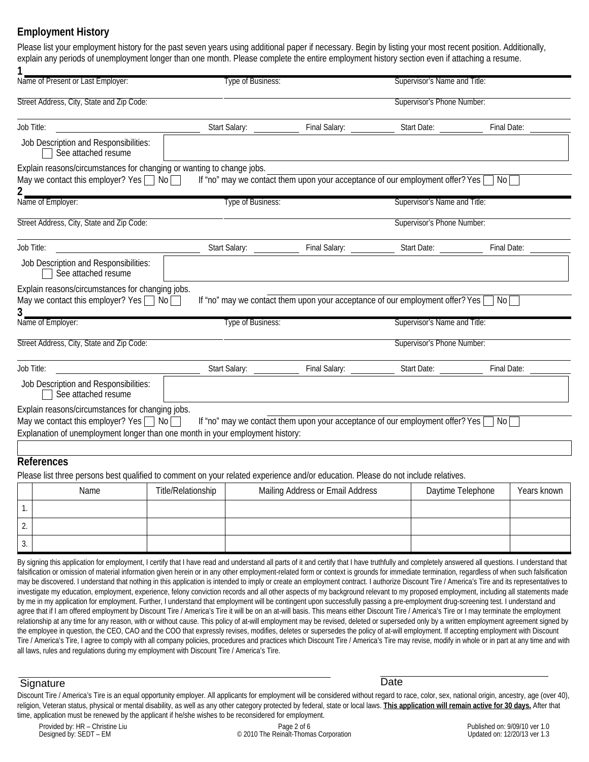### **Employment History**

| 1<br>Name of Present or Last Employer:                                                                                                                                                                                                                                                                                                                                                                       | Type of Business:         |                                                                                                | Supervisor's Name and Title: |             |
|--------------------------------------------------------------------------------------------------------------------------------------------------------------------------------------------------------------------------------------------------------------------------------------------------------------------------------------------------------------------------------------------------------------|---------------------------|------------------------------------------------------------------------------------------------|------------------------------|-------------|
| Street Address, City, State and Zip Code:                                                                                                                                                                                                                                                                                                                                                                    |                           |                                                                                                | Supervisor's Phone Number:   |             |
| Job Title:                                                                                                                                                                                                                                                                                                                                                                                                   | Start Salary: ___________ |                                                                                                |                              |             |
| Job Description and Responsibilities:<br>See attached resume                                                                                                                                                                                                                                                                                                                                                 |                           |                                                                                                |                              |             |
| Explain reasons/circumstances for changing or wanting to change jobs.<br>May we contact this employer? Yes $\Box$ No $\Box$                                                                                                                                                                                                                                                                                  |                           | If "no" may we contact them upon your acceptance of our employment offer? Yes $\Box$ No $\Box$ |                              |             |
| Name of Employer:<br>Type of Business:                                                                                                                                                                                                                                                                                                                                                                       |                           |                                                                                                | Supervisor's Name and Title: |             |
| Street Address, City, State and Zip Code:                                                                                                                                                                                                                                                                                                                                                                    |                           |                                                                                                | Supervisor's Phone Number:   |             |
| Job Title:                                                                                                                                                                                                                                                                                                                                                                                                   | Start Salary: ___________ |                                                                                                |                              |             |
| Job Description and Responsibilities:<br>See attached resume                                                                                                                                                                                                                                                                                                                                                 |                           |                                                                                                |                              |             |
|                                                                                                                                                                                                                                                                                                                                                                                                              |                           |                                                                                                |                              |             |
|                                                                                                                                                                                                                                                                                                                                                                                                              |                           | If "no" may we contact them upon your acceptance of our employment offer? Yes $\Box$ No $\Box$ |                              |             |
|                                                                                                                                                                                                                                                                                                                                                                                                              | Type of Business:         |                                                                                                | Supervisor's Name and Title: |             |
|                                                                                                                                                                                                                                                                                                                                                                                                              |                           |                                                                                                | Supervisor's Phone Number:   |             |
|                                                                                                                                                                                                                                                                                                                                                                                                              |                           |                                                                                                |                              |             |
| Job Description and Responsibilities:<br>See attached resume                                                                                                                                                                                                                                                                                                                                                 |                           |                                                                                                |                              |             |
|                                                                                                                                                                                                                                                                                                                                                                                                              |                           |                                                                                                |                              |             |
|                                                                                                                                                                                                                                                                                                                                                                                                              |                           | If "no" may we contact them upon your acceptance of our employment offer? Yes $\Box$ No [      |                              |             |
|                                                                                                                                                                                                                                                                                                                                                                                                              |                           |                                                                                                |                              |             |
| Explain reasons/circumstances for changing jobs.<br>May we contact this employer? Yes $\Box$ No $\Box$<br>3.<br>Name of Employer:<br>Street Address, City, State and Zip Code:<br>Job Title:<br>Explain reasons/circumstances for changing jobs.<br>May we contact this employer? Yes $\Box$ No $\Box$<br>Explanation of unemployment longer than one month in your employment history:<br><b>References</b> |                           |                                                                                                |                              |             |
|                                                                                                                                                                                                                                                                                                                                                                                                              |                           |                                                                                                |                              |             |
| Name                                                                                                                                                                                                                                                                                                                                                                                                         | Title/Relationship        | Mailing Address or Email Address                                                               | Daytime Telephone            | Years known |
| 1.                                                                                                                                                                                                                                                                                                                                                                                                           |                           |                                                                                                |                              |             |
| Please list three persons best qualified to comment on your related experience and/or education. Please do not include relatives.<br>2.                                                                                                                                                                                                                                                                      |                           |                                                                                                |                              |             |

falsification or omission of material information given herein or in any other employment-related form or context is grounds for immediate termination, regardless of when such falsification may be discovered. I understand that nothing in this application is intended to imply or create an employment contract. I authorize Discount Tire / America's Tire and its representatives to investigate my education, employment, experience, felony conviction records and all other aspects of my background relevant to my proposed employment, including all statements made by me in my application for employment. Further, I understand that employment will be contingent upon successfully passing a pre-employment drug-screening test. I understand and agree that if I am offered employment by Discount Tire / America's Tire it will be on an at-will basis. This means either Discount Tire / America's Tire or I may terminate the employment relationship at any time for any reason, with or without cause. This policy of at-will employment may be revised, deleted or superseded only by a written employment agreement signed by the employee in question, the CEO, CAO and the COO that expressly revises, modifies, deletes or supersedes the policy of at-will employment. If accepting employment with Discount Tire / America's Tire, I agree to comply with all company policies, procedures and practices which Discount Tire / America's Tire may revise, modify in whole or in part at any time and with all laws, rules and regulations during my employment with Discount Tire / America's Tire.

#### Signature Date

Discount Tire / America's Tire is an equal opportunity employer. All applicants for employment will be considered without regard to race, color, sex, national origin, ancestry, age (over 40), religion, Veteran status, physical or mental disability, as well as any other category protected by federal, state or local laws. **This application will remain active for 30 days.** After that time, application must be renewed by the applicant if he/she wishes to be reconsidered for employment.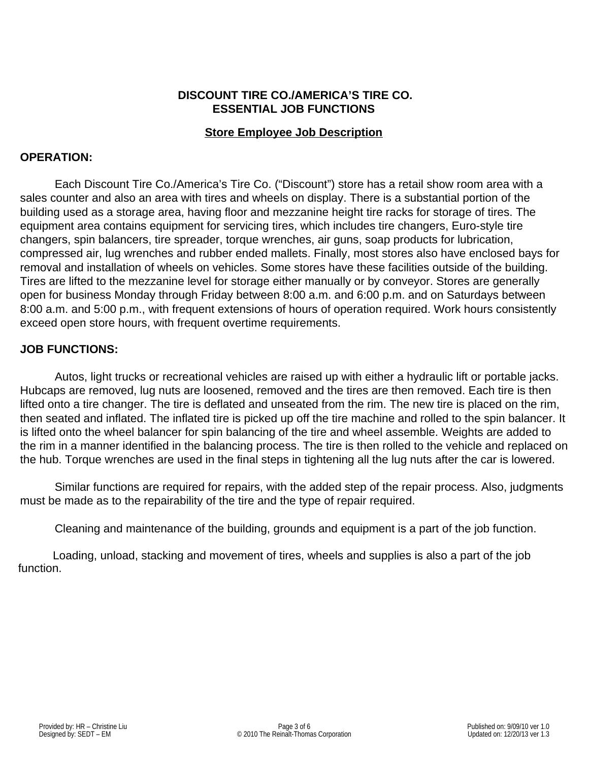#### **DISCOUNT TIRE CO./AMERICA'S TIRE CO. ESSENTIAL JOB FUNCTIONS**

#### **Store Employee Job Description**

#### **OPERATION:**

Each Discount Tire Co./America's Tire Co. ("Discount") store has a retail show room area with a sales counter and also an area with tires and wheels on display. There is a substantial portion of the building used as a storage area, having floor and mezzanine height tire racks for storage of tires. The equipment area contains equipment for servicing tires, which includes tire changers, Euro-style tire changers, spin balancers, tire spreader, torque wrenches, air guns, soap products for lubrication, compressed air, lug wrenches and rubber ended mallets. Finally, most stores also have enclosed bays for removal and installation of wheels on vehicles. Some stores have these facilities outside of the building. Tires are lifted to the mezzanine level for storage either manually or by conveyor. Stores are generally open for business Monday through Friday between 8:00 a.m. and 6:00 p.m. and on Saturdays between 8:00 a.m. and 5:00 p.m., with frequent extensions of hours of operation required. Work hours consistently exceed open store hours, with frequent overtime requirements.

#### **JOB FUNCTIONS:**

 Autos, light trucks or recreational vehicles are raised up with either a hydraulic lift or portable jacks. Hubcaps are removed, lug nuts are loosened, removed and the tires are then removed. Each tire is then lifted onto a tire changer. The tire is deflated and unseated from the rim. The new tire is placed on the rim, then seated and inflated. The inflated tire is picked up off the tire machine and rolled to the spin balancer. It is lifted onto the wheel balancer for spin balancing of the tire and wheel assemble. Weights are added to the rim in a manner identified in the balancing process. The tire is then rolled to the vehicle and replaced on the hub. Torque wrenches are used in the final steps in tightening all the lug nuts after the car is lowered.

 Similar functions are required for repairs, with the added step of the repair process. Also, judgments must be made as to the repairability of the tire and the type of repair required.

Cleaning and maintenance of the building, grounds and equipment is a part of the job function.

Loading, unload, stacking and movement of tires, wheels and supplies is also a part of the job function.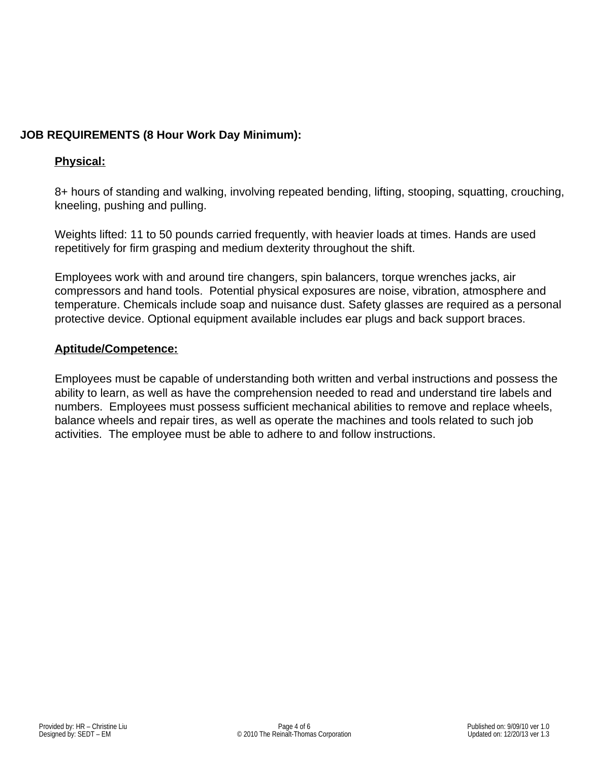# **JOB REQUIREMENTS (8 Hour Work Day Minimum):**

## **Physical:**

8+ hours of standing and walking, involving repeated bending, lifting, stooping, squatting, crouching, kneeling, pushing and pulling.

Weights lifted: 11 to 50 pounds carried frequently, with heavier loads at times. Hands are used repetitively for firm grasping and medium dexterity throughout the shift.

Employees work with and around tire changers, spin balancers, torque wrenches jacks, air compressors and hand tools. Potential physical exposures are noise, vibration, atmosphere and temperature. Chemicals include soap and nuisance dust. Safety glasses are required as a personal protective device. Optional equipment available includes ear plugs and back support braces.

#### **Aptitude/Competence:**

Employees must be capable of understanding both written and verbal instructions and possess the ability to learn, as well as have the comprehension needed to read and understand tire labels and numbers. Employees must possess sufficient mechanical abilities to remove and replace wheels, balance wheels and repair tires, as well as operate the machines and tools related to such job activities. The employee must be able to adhere to and follow instructions.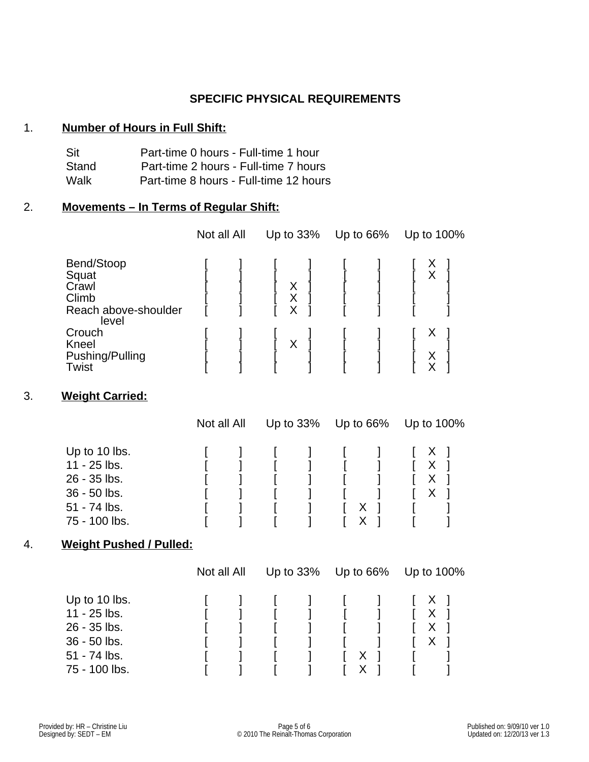#### **SPECIFIC PHYSICAL REQUIREMENTS**

#### 1. **Number of Hours in Full Shift:**

| Sit   | Part-time 0 hours - Full-time 1 hour   |
|-------|----------------------------------------|
| Stand | Part-time 2 hours - Full-time 7 hours  |
| Walk  | Part-time 8 hours - Full-time 12 hours |

#### 2. **Movements – In Terms of Regular Shift:**

|                                                                        | Not all All | Up to 33%   | Up to 66% |  | Up to 100%        |
|------------------------------------------------------------------------|-------------|-------------|-----------|--|-------------------|
| Bend/Stoop<br>Squat<br>Crawl<br>Climb<br>Reach above-shoulder<br>level |             | X<br>X<br>X |           |  | Χ                 |
| Crouch<br><b>Kneel</b><br>Pushing/Pulling<br>Twist                     |             | X           |           |  | X<br>$\checkmark$ |

# 3. **Weight Carried:**

|               | Not all All |  | Up to $33\%$ Up to $66\%$ |   | Up to 100%                       |  |
|---------------|-------------|--|---------------------------|---|----------------------------------|--|
| Up to 10 lbs. |             |  |                           |   | $\begin{array}{ccc} \end{array}$ |  |
| 11 - 25 lbs.  |             |  |                           |   | X                                |  |
| 26 - 35 lbs.  |             |  |                           |   | X                                |  |
| 36 - 50 lbs.  |             |  |                           |   | X                                |  |
| 51 - 74 lbs.  |             |  |                           | х |                                  |  |
| 75 - 100 lbs. |             |  |                           |   |                                  |  |

#### 4. 4. **Weight Pushed / Pulled:**

|               | Not all All |  | Up to $33\%$ | Up to 66% |  | Up to 100%                                     |
|---------------|-------------|--|--------------|-----------|--|------------------------------------------------|
| Up to 10 lbs. |             |  |              |           |  | $\begin{bmatrix} 1 & x \\ y & z \end{bmatrix}$ |
| 11 - 25 lbs.  |             |  |              |           |  | X                                              |
| 26 - 35 lbs.  |             |  |              |           |  | Х                                              |
| 36 - 50 lbs.  |             |  |              |           |  |                                                |
| 51 - 74 lbs.  |             |  |              | х         |  |                                                |
| 75 - 100 lbs. |             |  |              |           |  |                                                |